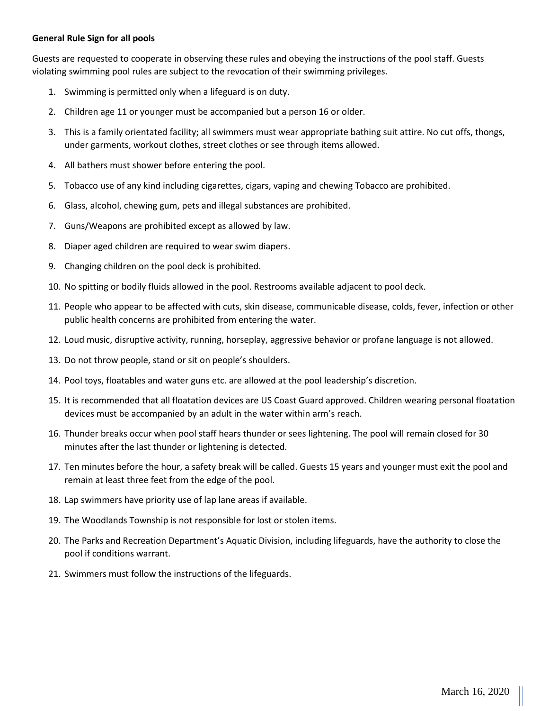# **General Rule Sign for all pools**

Guests are requested to cooperate in observing these rules and obeying the instructions of the pool staff. Guests violating swimming pool rules are subject to the revocation of their swimming privileges.

- 1. Swimming is permitted only when a lifeguard is on duty.
- 2. Children age 11 or younger must be accompanied but a person 16 or older.
- 3. This is a family orientated facility; all swimmers must wear appropriate bathing suit attire. No cut offs, thongs, under garments, workout clothes, street clothes or see through items allowed.
- 4. All bathers must shower before entering the pool.
- 5. Tobacco use of any kind including cigarettes, cigars, vaping and chewing Tobacco are prohibited.
- 6. Glass, alcohol, chewing gum, pets and illegal substances are prohibited.
- 7. Guns/Weapons are prohibited except as allowed by law.
- 8. Diaper aged children are required to wear swim diapers.
- 9. Changing children on the pool deck is prohibited.
- 10. No spitting or bodily fluids allowed in the pool. Restrooms available adjacent to pool deck.
- 11. People who appear to be affected with cuts, skin disease, communicable disease, colds, fever, infection or other public health concerns are prohibited from entering the water.
- 12. Loud music, disruptive activity, running, horseplay, aggressive behavior or profane language is not allowed.
- 13. Do not throw people, stand or sit on people's shoulders.
- 14. Pool toys, floatables and water guns etc. are allowed at the pool leadership's discretion.
- 15. It is recommended that all floatation devices are US Coast Guard approved. Children wearing personal floatation devices must be accompanied by an adult in the water within arm's reach.
- 16. Thunder breaks occur when pool staff hears thunder or sees lightening. The pool will remain closed for 30 minutes after the last thunder or lightening is detected.
- 17. Ten minutes before the hour, a safety break will be called. Guests 15 years and younger must exit the pool and remain at least three feet from the edge of the pool.
- 18. Lap swimmers have priority use of lap lane areas if available.
- 19. The Woodlands Township is not responsible for lost or stolen items.
- 20. The Parks and Recreation Department's Aquatic Division, including lifeguards, have the authority to close the pool if conditions warrant.
- 21. Swimmers must follow the instructions of the lifeguards.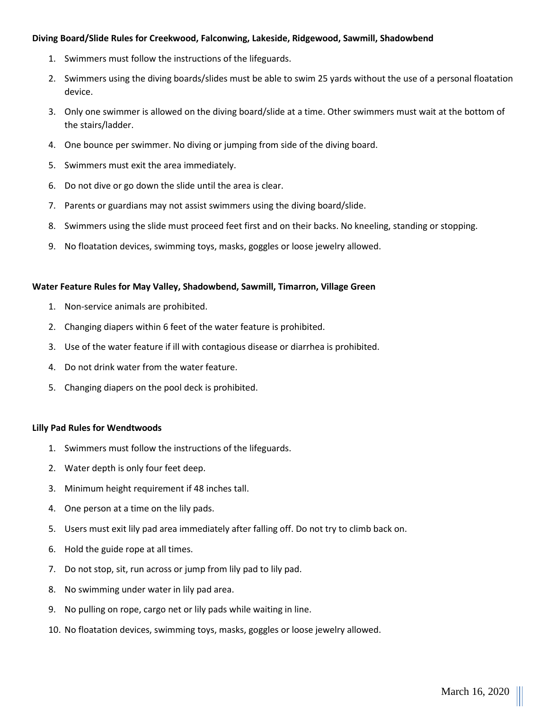# **Diving Board/Slide Rules for Creekwood, Falconwing, Lakeside, Ridgewood, Sawmill, Shadowbend**

- 1. Swimmers must follow the instructions of the lifeguards.
- 2. Swimmers using the diving boards/slides must be able to swim 25 yards without the use of a personal floatation device.
- 3. Only one swimmer is allowed on the diving board/slide at a time. Other swimmers must wait at the bottom of the stairs/ladder.
- 4. One bounce per swimmer. No diving or jumping from side of the diving board.
- 5. Swimmers must exit the area immediately.
- 6. Do not dive or go down the slide until the area is clear.
- 7. Parents or guardians may not assist swimmers using the diving board/slide.
- 8. Swimmers using the slide must proceed feet first and on their backs. No kneeling, standing or stopping.
- 9. No floatation devices, swimming toys, masks, goggles or loose jewelry allowed.

## **Water Feature Rules for May Valley, Shadowbend, Sawmill, Timarron, Village Green**

- 1. Non-service animals are prohibited.
- 2. Changing diapers within 6 feet of the water feature is prohibited.
- 3. Use of the water feature if ill with contagious disease or diarrhea is prohibited.
- 4. Do not drink water from the water feature.
- 5. Changing diapers on the pool deck is prohibited.

## **Lilly Pad Rules for Wendtwoods**

- 1. Swimmers must follow the instructions of the lifeguards.
- 2. Water depth is only four feet deep.
- 3. Minimum height requirement if 48 inches tall.
- 4. One person at a time on the lily pads.
- 5. Users must exit lily pad area immediately after falling off. Do not try to climb back on.
- 6. Hold the guide rope at all times.
- 7. Do not stop, sit, run across or jump from lily pad to lily pad.
- 8. No swimming under water in lily pad area.
- 9. No pulling on rope, cargo net or lily pads while waiting in line.
- 10. No floatation devices, swimming toys, masks, goggles or loose jewelry allowed.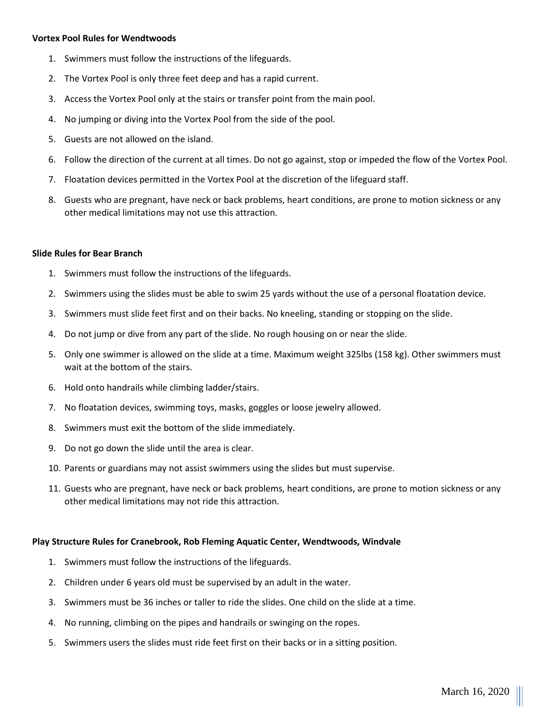### **Vortex Pool Rules for Wendtwoods**

- 1. Swimmers must follow the instructions of the lifeguards.
- 2. The Vortex Pool is only three feet deep and has a rapid current.
- 3. Access the Vortex Pool only at the stairs or transfer point from the main pool.
- 4. No jumping or diving into the Vortex Pool from the side of the pool.
- 5. Guests are not allowed on the island.
- 6. Follow the direction of the current at all times. Do not go against, stop or impeded the flow of the Vortex Pool.
- 7. Floatation devices permitted in the Vortex Pool at the discretion of the lifeguard staff.
- 8. Guests who are pregnant, have neck or back problems, heart conditions, are prone to motion sickness or any other medical limitations may not use this attraction.

#### **Slide Rules for Bear Branch**

- 1. Swimmers must follow the instructions of the lifeguards.
- 2. Swimmers using the slides must be able to swim 25 yards without the use of a personal floatation device.
- 3. Swimmers must slide feet first and on their backs. No kneeling, standing or stopping on the slide.
- 4. Do not jump or dive from any part of the slide. No rough housing on or near the slide.
- 5. Only one swimmer is allowed on the slide at a time. Maximum weight 325lbs (158 kg). Other swimmers must wait at the bottom of the stairs.
- 6. Hold onto handrails while climbing ladder/stairs.
- 7. No floatation devices, swimming toys, masks, goggles or loose jewelry allowed.
- 8. Swimmers must exit the bottom of the slide immediately.
- 9. Do not go down the slide until the area is clear.
- 10. Parents or guardians may not assist swimmers using the slides but must supervise.
- 11. Guests who are pregnant, have neck or back problems, heart conditions, are prone to motion sickness or any other medical limitations may not ride this attraction.

## **Play Structure Rules for Cranebrook, Rob Fleming Aquatic Center, Wendtwoods, Windvale**

- 1. Swimmers must follow the instructions of the lifeguards.
- 2. Children under 6 years old must be supervised by an adult in the water.
- 3. Swimmers must be 36 inches or taller to ride the slides. One child on the slide at a time.
- 4. No running, climbing on the pipes and handrails or swinging on the ropes.
- 5. Swimmers users the slides must ride feet first on their backs or in a sitting position.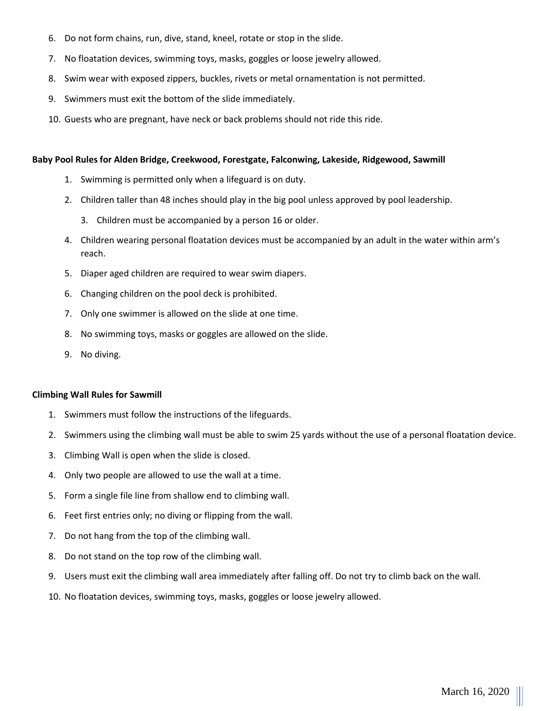- 6. Do not form chains, run, dive, stand, kneel, rotate or stop in the slide.
- 7. No floatation devices, swimming toys, masks, goggles or loose jewelry allowed.
- 8. Swim wear with exposed zippers, buckles, rivets or metal ornamentation is not permitted.
- 9. Swimmers must exit the bottom of the slide immediately.
- 10. Guests who are pregnant, have neck or back problems should not ride this ride.

#### **Baby Pool Rules for Alden Bridge, Creekwood, Forestgate, Falconwing, Lakeside, Ridgewood, Sawmill**

- 1. Swimming is permitted only when a lifeguard is on duty.
- 2. Children taller than 48 inches should play in the big pool unless approved by pool leadership.
	- 3. Children must be accompanied by a person 16 or older.
- 4. Children wearing personal floatation devices must be accompanied by an adult in the water within arm's reach.
- 5. Diaper aged children are required to wear swim diapers.
- 6. Changing children on the pool deck is prohibited.
- 7. Only one swimmer is allowed on the slide at one time.
- 8. No swimming toys, masks or goggles are allowed on the slide.
- 9. No diving.

## **Climbing Wall Rules for Sawmill**

- 1. Swimmers must follow the instructions of the lifeguards.
- 2. Swimmers using the climbing wall must be able to swim 25 yards without the use of a personal floatation device.
- 3. Climbing Wall is open when the slide is closed.
- 4. Only two people are allowed to use the wall at a time.
- 5. Form a single file line from shallow end to climbing wall.
- 6. Feet first entries only; no diving or flipping from the wall.
- 7. Do not hang from the top of the climbing wall.
- 8. Do not stand on the top row of the climbing wall.
- 9. Users must exit the climbing wall area immediately after falling off. Do not try to climb back on the wall.
- 10. No floatation devices, swimming toys, masks, goggles or loose jewelry allowed.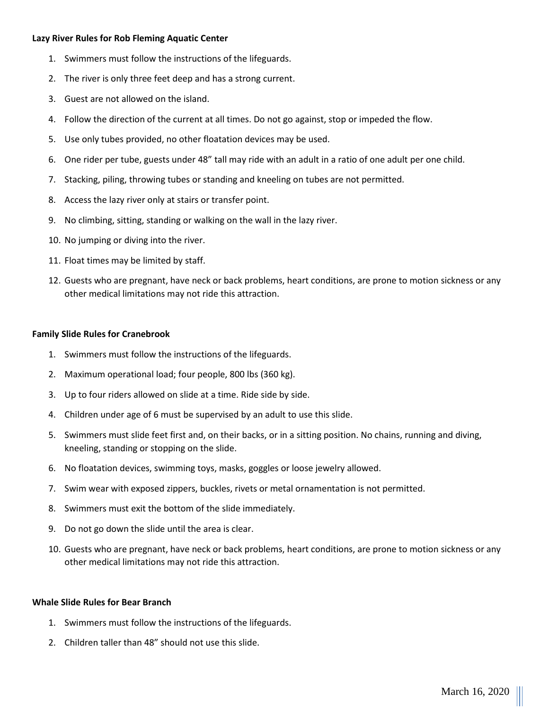### **Lazy River Rules for Rob Fleming Aquatic Center**

- 1. Swimmers must follow the instructions of the lifeguards.
- 2. The river is only three feet deep and has a strong current.
- 3. Guest are not allowed on the island.
- 4. Follow the direction of the current at all times. Do not go against, stop or impeded the flow.
- 5. Use only tubes provided, no other floatation devices may be used.
- 6. One rider per tube, guests under 48" tall may ride with an adult in a ratio of one adult per one child.
- 7. Stacking, piling, throwing tubes or standing and kneeling on tubes are not permitted.
- 8. Access the lazy river only at stairs or transfer point.
- 9. No climbing, sitting, standing or walking on the wall in the lazy river.
- 10. No jumping or diving into the river.
- 11. Float times may be limited by staff.
- 12. Guests who are pregnant, have neck or back problems, heart conditions, are prone to motion sickness or any other medical limitations may not ride this attraction.

## **Family Slide Rules for Cranebrook**

- 1. Swimmers must follow the instructions of the lifeguards.
- 2. Maximum operational load; four people, 800 lbs (360 kg).
- 3. Up to four riders allowed on slide at a time. Ride side by side.
- 4. Children under age of 6 must be supervised by an adult to use this slide.
- 5. Swimmers must slide feet first and, on their backs, or in a sitting position. No chains, running and diving, kneeling, standing or stopping on the slide.
- 6. No floatation devices, swimming toys, masks, goggles or loose jewelry allowed.
- 7. Swim wear with exposed zippers, buckles, rivets or metal ornamentation is not permitted.
- 8. Swimmers must exit the bottom of the slide immediately.
- 9. Do not go down the slide until the area is clear.
- 10. Guests who are pregnant, have neck or back problems, heart conditions, are prone to motion sickness or any other medical limitations may not ride this attraction.

## **Whale Slide Rules for Bear Branch**

- 1. Swimmers must follow the instructions of the lifeguards.
- 2. Children taller than 48" should not use this slide.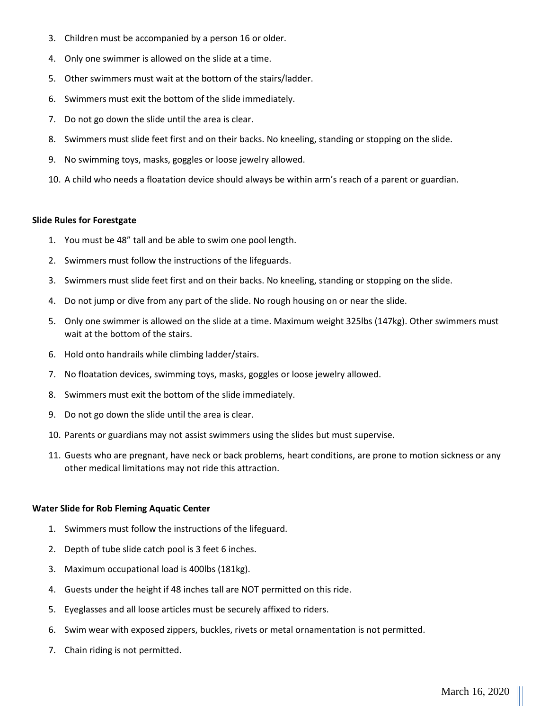- 3. Children must be accompanied by a person 16 or older.
- 4. Only one swimmer is allowed on the slide at a time.
- 5. Other swimmers must wait at the bottom of the stairs/ladder.
- 6. Swimmers must exit the bottom of the slide immediately.
- 7. Do not go down the slide until the area is clear.
- 8. Swimmers must slide feet first and on their backs. No kneeling, standing or stopping on the slide.
- 9. No swimming toys, masks, goggles or loose jewelry allowed.
- 10. A child who needs a floatation device should always be within arm's reach of a parent or guardian.

#### **Slide Rules for Forestgate**

- 1. You must be 48" tall and be able to swim one pool length.
- 2. Swimmers must follow the instructions of the lifeguards.
- 3. Swimmers must slide feet first and on their backs. No kneeling, standing or stopping on the slide.
- 4. Do not jump or dive from any part of the slide. No rough housing on or near the slide.
- 5. Only one swimmer is allowed on the slide at a time. Maximum weight 325lbs (147kg). Other swimmers must wait at the bottom of the stairs.
- 6. Hold onto handrails while climbing ladder/stairs.
- 7. No floatation devices, swimming toys, masks, goggles or loose jewelry allowed.
- 8. Swimmers must exit the bottom of the slide immediately.
- 9. Do not go down the slide until the area is clear.
- 10. Parents or guardians may not assist swimmers using the slides but must supervise.
- 11. Guests who are pregnant, have neck or back problems, heart conditions, are prone to motion sickness or any other medical limitations may not ride this attraction.

## **Water Slide for Rob Fleming Aquatic Center**

- 1. Swimmers must follow the instructions of the lifeguard.
- 2. Depth of tube slide catch pool is 3 feet 6 inches.
- 3. Maximum occupational load is 400lbs (181kg).
- 4. Guests under the height if 48 inches tall are NOT permitted on this ride.
- 5. Eyeglasses and all loose articles must be securely affixed to riders.
- 6. Swim wear with exposed zippers, buckles, rivets or metal ornamentation is not permitted.
- 7. Chain riding is not permitted.